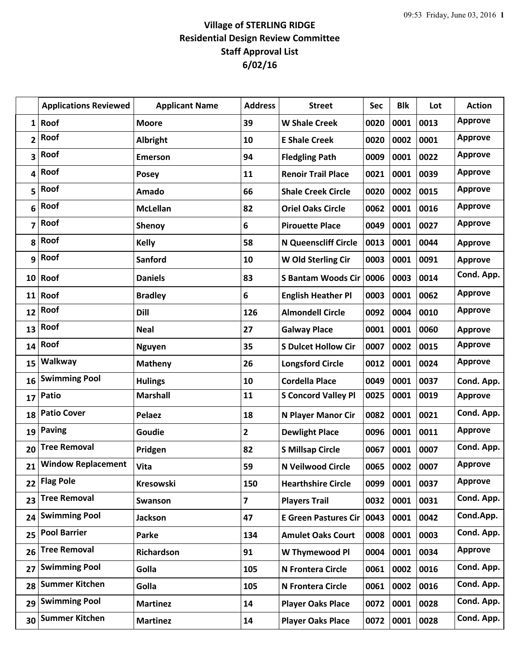## **Village of STERLING RIDGE Residential Design Review Committee Staff Approval List 6/02/16**

|                | <b>Applications Reviewed</b> | <b>Applicant Name</b> | <b>Address</b> | <b>Street</b>               | <b>Sec</b> | <b>Blk</b> | Lot  | <b>Action</b>  |
|----------------|------------------------------|-----------------------|----------------|-----------------------------|------------|------------|------|----------------|
| 1              | Roof                         | <b>Moore</b>          | 39             | <b>W Shale Creek</b>        | 0020       | 0001       | 0013 | <b>Approve</b> |
| $\overline{2}$ | Roof                         | Albright              | 10             | <b>E Shale Creek</b>        | 0020       | 0002       | 0001 | <b>Approve</b> |
| 3              | Roof                         | <b>Emerson</b>        | 94             | <b>Fledgling Path</b>       | 0009       | 0001       | 0022 | <b>Approve</b> |
| 4              | Roof                         | <b>Posey</b>          | 11             | <b>Renoir Trail Place</b>   | 0021       | 0001       | 0039 | <b>Approve</b> |
| 5              | Roof                         | Amado                 | 66             | <b>Shale Creek Circle</b>   | 0020       | 0002       | 0015 | <b>Approve</b> |
| 6              | Roof                         | <b>McLellan</b>       | 82             | <b>Oriel Oaks Circle</b>    | 0062       | 0001       | 0016 | <b>Approve</b> |
| 7              | Roof                         | Shenoy                | 6              | <b>Pirouette Place</b>      | 0049       | 0001       | 0027 | <b>Approve</b> |
| 8              | Roof                         | <b>Kelly</b>          | 58             | <b>N Queenscliff Circle</b> | 0013       | 0001       | 0044 | <b>Approve</b> |
| 9              | Roof                         | <b>Sanford</b>        | 10             | W Old Sterling Cir          | 0003       | 0001       | 0091 | <b>Approve</b> |
|                | $10$ Roof                    | <b>Daniels</b>        | 83             | <b>S Bantam Woods Cir</b>   | 0006       | 0003       | 0014 | Cond. App.     |
| 11             | Roof                         | <b>Bradley</b>        | 6              | <b>English Heather Pl</b>   | 0003       | 0001       | 0062 | <b>Approve</b> |
| 12             | Roof                         | <b>Dill</b>           | 126            | <b>Almondell Circle</b>     | 0092       | 0004       | 0010 | <b>Approve</b> |
| 13             | Roof                         | <b>Neal</b>           | 27             | <b>Galway Place</b>         | 0001       | 0001       | 0060 | <b>Approve</b> |
| 14             | Roof                         | <b>Nguyen</b>         | 35             | <b>S Dulcet Hollow Cir</b>  | 0007       | 0002       | 0015 | <b>Approve</b> |
| 15             | Walkway                      | <b>Matheny</b>        | 26             | <b>Longsford Circle</b>     | 0012       | 0001       | 0024 | <b>Approve</b> |
| 16             | <b>Swimming Pool</b>         | <b>Hulings</b>        | 10             | <b>Cordella Place</b>       | 0049       | 0001       | 0037 | Cond. App.     |
| 17             | <b>Patio</b>                 | <b>Marshall</b>       | 11             | <b>S Concord Valley Pl</b>  | 0025       | 0001       | 0019 | <b>Approve</b> |
| 18             | <b>Patio Cover</b>           | <b>Pelaez</b>         | 18             | N Player Manor Cir          | 0082       | 0001       | 0021 | Cond. App.     |
| 19             | Paving                       | Goudie                | 2              | <b>Dewlight Place</b>       | 0096       | 0001       | 0011 | <b>Approve</b> |
| 20             | <b>Tree Removal</b>          | Pridgen               | 82             | <b>S Millsap Circle</b>     | 0067       | 0001       | 0007 | Cond. App.     |
| 21             | <b>Window Replacement</b>    | Vita                  | 59             | N Veilwood Circle           | 0065       | 0002       | 0007 | <b>Approve</b> |
| 22             | <b>Flag Pole</b>             | Kresowski             | 150            | <b>Hearthshire Circle</b>   | 0099       | 0001       | 0037 | <b>Approve</b> |
| 23             | <b>Tree Removal</b>          | Swanson               | 7              | <b>Players Trail</b>        | 0032       | 0001       | 0031 | Cond. App.     |
| 24             | <b>Swimming Pool</b>         | <b>Jackson</b>        | 47             | <b>E Green Pastures Cir</b> | 0043       | 0001       | 0042 | Cond.App.      |
| 25             | <b>Pool Barrier</b>          | Parke                 | 134            | <b>Amulet Oaks Court</b>    | 0008       | 0001       | 0003 | Cond. App.     |
| 26             | <b>Tree Removal</b>          | Richardson            | 91             | W Thymewood Pl              | 0004       | 0001       | 0034 | <b>Approve</b> |
| 27             | <b>Swimming Pool</b>         | Golla                 | 105            | N Frontera Circle           | 0061       | 0002       | 0016 | Cond. App.     |
| 28             | <b>Summer Kitchen</b>        | Golla                 | 105            | N Frontera Circle           | 0061       | 0002       | 0016 | Cond. App.     |
| 29             | <b>Swimming Pool</b>         | <b>Martinez</b>       | 14             | <b>Player Oaks Place</b>    | 0072       | 0001       | 0028 | Cond. App.     |
| 30             | <b>Summer Kitchen</b>        | <b>Martinez</b>       | 14             | <b>Player Oaks Place</b>    | 0072       | 0001       | 0028 | Cond. App.     |